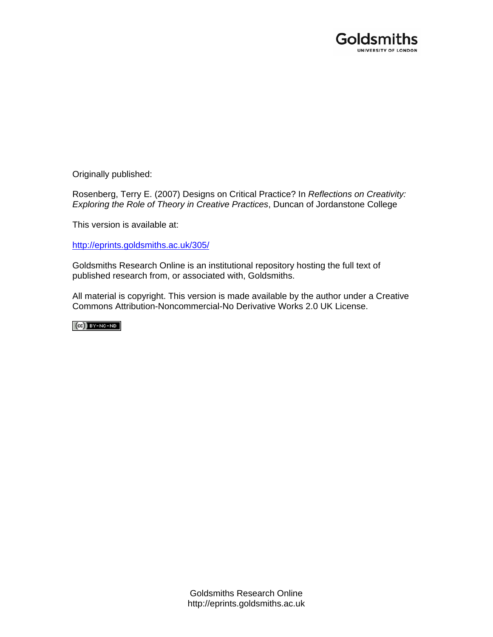

Originally published:

Rosenberg, Terry E. (2007) Designs on Critical Practice? In *Reflections on Creativity: Exploring the Role of Theory in Creative Practices*, Duncan of Jordanstone College

This version is available at:

[http://eprints.goldsmiths.ac.uk/305/](http://eprints.goldsmiths.ac.uk/211/)

Goldsmiths Research Online is an institutional repository hosting the full text of published research from, or associated with, Goldsmiths.

All material is copyright. This version is made available by the author under a Creative Commons Attribution-Noncommercial-No Derivative Works 2.0 UK License.

 $(Cc)$  BY-NC-ND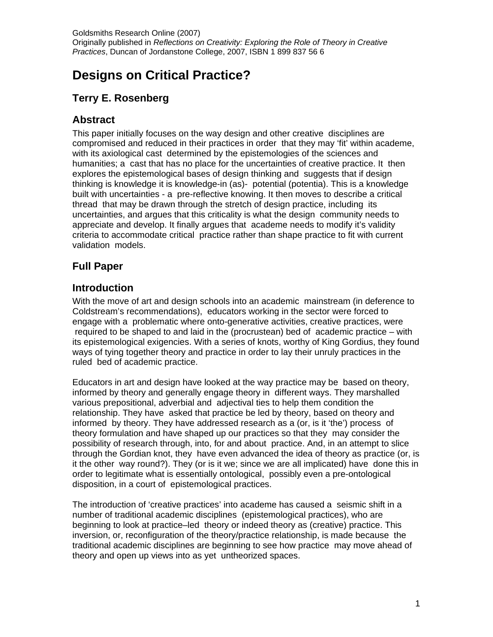# **Designs on Critical Practice?**

## **Terry E. Rosenberg**

## **Abstract**

This paper initially focuses on the way design and other creative disciplines are compromised and reduced in their practices in order that they may 'fit' within academe, with its axiological cast determined by the epistemologies of the sciences and humanities; a cast that has no place for the uncertainties of creative practice. It then explores the epistemological bases of design thinking and suggests that if design thinking is knowledge it is knowledge-in (as)- potential (potentia). This is a knowledge built with uncertainties - a pre-reflective knowing. It then moves to describe a critical thread that may be drawn through the stretch of design practice, including its uncertainties, and argues that this criticality is what the design community needs to appreciate and develop. It finally argues that academe needs to modify it's validity criteria to accommodate critical practice rather than shape practice to fit with current validation models.

## **Full Paper**

## **Introduction**

With the move of art and design schools into an academic mainstream (in deference to Coldstream's recommendations), educators working in the sector were forced to engage with a problematic where onto-generative activities, creative practices, were required to be shaped to and laid in the (procrustean) bed of academic practice – with its epistemological exigencies. With a series of knots, worthy of King Gordius, they found ways of tying together theory and practice in order to lay their unruly practices in the ruled bed of academic practice.

Educators in art and design have looked at the way practice may be based on theory, informed by theory and generally engage theory in different ways. They marshalled various prepositional, adverbial and adjectival ties to help them condition the relationship. They have asked that practice be led by theory, based on theory and informed by theory. They have addressed research as a (or, is it 'the') process of theory formulation and have shaped up our practices so that they may consider the possibility of research through, into, for and about practice. And, in an attempt to slice through the Gordian knot, they have even advanced the idea of theory as practice (or, is it the other way round?). They (or is it we; since we are all implicated) have done this in order to legitimate what is essentially ontological, possibly even a pre-ontological disposition, in a court of epistemological practices.

The introduction of 'creative practices' into academe has caused a seismic shift in a number of traditional academic disciplines (epistemological practices), who are beginning to look at practice–led theory or indeed theory as (creative) practice. This inversion, or, reconfiguration of the theory/practice relationship, is made because the traditional academic disciplines are beginning to see how practice may move ahead of theory and open up views into as yet untheorized spaces.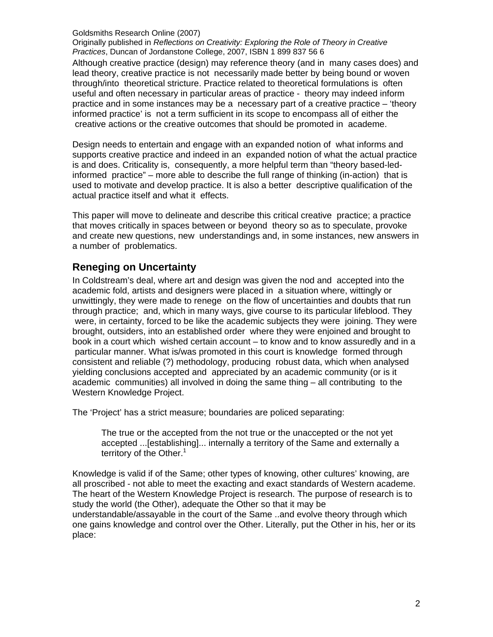Originally published in *Reflections on Creativity: Exploring the Role of Theory in Creative Practices*, Duncan of Jordanstone College, 2007, ISBN 1 899 837 56 6

Although creative practice (design) may reference theory (and in many cases does) and lead theory, creative practice is not necessarily made better by being bound or woven through/into theoretical stricture. Practice related to theoretical formulations is often useful and often necessary in particular areas of practice - theory may indeed inform practice and in some instances may be a necessary part of a creative practice – 'theory informed practice' is not a term sufficient in its scope to encompass all of either the creative actions or the creative outcomes that should be promoted in academe.

Design needs to entertain and engage with an expanded notion of what informs and supports creative practice and indeed in an expanded notion of what the actual practice is and does. Criticality is, consequently, a more helpful term than "theory based-ledinformed practice" – more able to describe the full range of thinking (in-action) that is used to motivate and develop practice. It is also a better descriptive qualification of the actual practice itself and what it effects.

This paper will move to delineate and describe this critical creative practice; a practice that moves critically in spaces between or beyond theory so as to speculate, provoke and create new questions, new understandings and, in some instances, new answers in a number of problematics.

### **Reneging on Uncertainty**

In Coldstream's deal, where art and design was given the nod and accepted into the academic fold, artists and designers were placed in a situation where, wittingly or unwittingly, they were made to renege on the flow of uncertainties and doubts that run through practice; and, which in many ways, give course to its particular lifeblood. They were, in certainty, forced to be like the academic subjects they were joining. They were brought, outsiders, into an established order where they were enjoined and brought to book in a court which wished certain account – to know and to know assuredly and in a particular manner. What is/was promoted in this court is knowledge formed through consistent and reliable (?) methodology, producing robust data, which when analysed yielding conclusions accepted and appreciated by an academic community (or is it academic communities) all involved in doing the same thing – all contributing to the Western Knowledge Project.

The 'Project' has a strict measure; boundaries are policed separating:

The true or the accepted from the not true or the unaccepted or the not yet accepted ...[establishing]... internally a territory of the Same and externally a territory of the Other.<sup>1</sup>

Knowledge is valid if of the Same; other types of knowing, other cultures' knowing, are all proscribed - not able to meet the exacting and exact standards of Western academe. The heart of the Western Knowledge Project is research. The purpose of research is to study the world (the Other), adequate the Other so that it may be understandable/assayable in the court of the Same ..and evolve theory through which one gains knowledge and control over the Other. Literally, put the Other in his, her or its place: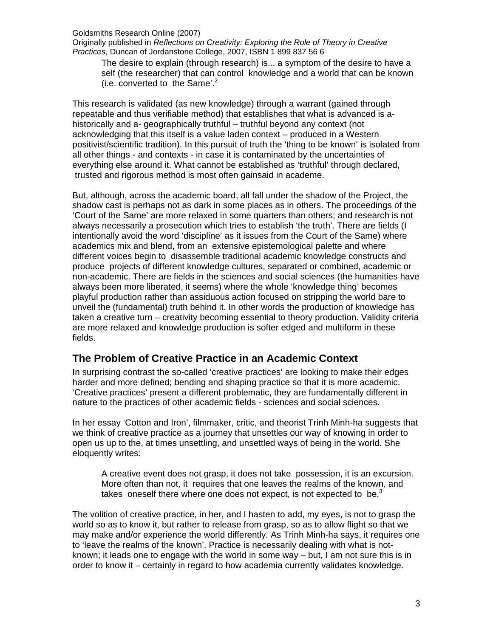Originally published in *Reflections on Creativity: Exploring the Role of Theory in Creative Practices*, Duncan of Jordanstone College, 2007, ISBN 1 899 837 56 6

The desire to explain (through research) is... a symptom of the desire to have a self (the researcher) that can control knowledge and a world that can be known (i.e. converted to the Same'. $2$ 

This research is validated (as new knowledge) through a warrant (gained through repeatable and thus verifiable method) that establishes that what is advanced is ahistorically and a- geographically truthful – truthful beyond any context (not acknowledging that this itself is a value laden context – produced in a Western positivist/scientific tradition). In this pursuit of truth the 'thing to be known' is isolated from all other things - and contexts - in case it is contaminated by the uncertainties of everything else around it. What cannot be established as 'truthful' through declared, trusted and rigorous method is most often gainsaid in academe.

But, although, across the academic board, all fall under the shadow of the Project, the shadow cast is perhaps not as dark in some places as in others. The proceedings of the 'Court of the Same' are more relaxed in some quarters than others; and research is not always necessarily a prosecution which tries to establish 'the truth'. There are fields (I intentionally avoid the word 'discipline' as it issues from the Court of the Same) where academics mix and blend, from an extensive epistemological palette and where different voices begin to disassemble traditional academic knowledge constructs and produce projects of different knowledge cultures, separated or combined, academic or non-academic. There are fields in the sciences and social sciences (the humanities have always been more liberated, it seems) where the whole 'knowledge thing' becomes playful production rather than assiduous action focused on stripping the world bare to unveil the (fundamental) truth behind it. In other words the production of knowledge has taken a creative turn – creativity becoming essential to theory production. Validity criteria are more relaxed and knowledge production is softer edged and multiform in these fields.

### **The Problem of Creative Practice in an Academic Context**

In surprising contrast the so-called 'creative practices' are looking to make their edges harder and more defined; bending and shaping practice so that it is more academic. 'Creative practices' present a different problematic, they are fundamentally different in nature to the practices of other academic fields - sciences and social sciences.

In her essay 'Cotton and Iron', filmmaker, critic, and theorist Trinh Minh-ha suggests that we think of creative practice as a journey that unsettles our way of knowing in order to open us up to the, at times unsettling, and unsettled ways of being in the world. She eloquently writes:

A creative event does not grasp, it does not take possession, it is an excursion. More often than not, it requires that one leaves the realms of the known, and takes oneself there where one does not expect, is not expected to be. $3$ 

The volition of creative practice, in her, and I hasten to add, my eyes, is not to grasp the world so as to know it, but rather to release from grasp, so as to allow flight so that we may make and/or experience the world differently. As Trinh Minh-ha says, it requires one to 'leave the realms of the known'. Practice is necessarily dealing with what is notknown; it leads one to engage with the world in some way – but, I am not sure this is in order to know it – certainly in regard to how academia currently validates knowledge.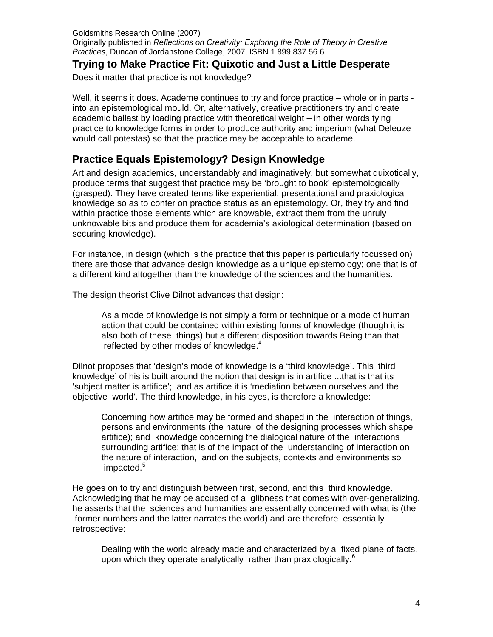#### **Trying to Make Practice Fit: Quixotic and Just a Little Desperate**

Does it matter that practice is not knowledge?

Well, it seems it does. Academe continues to try and force practice – whole or in parts into an epistemological mould. Or, alternatively, creative practitioners try and create academic ballast by loading practice with theoretical weight – in other words tying practice to knowledge forms in order to produce authority and imperium (what Deleuze would call potestas) so that the practice may be acceptable to academe.

## **Practice Equals Epistemology? Design Knowledge**

Art and design academics, understandably and imaginatively, but somewhat quixotically, produce terms that suggest that practice may be 'brought to book' epistemologically (grasped). They have created terms like experiential, presentational and praxiological knowledge so as to confer on practice status as an epistemology. Or, they try and find within practice those elements which are knowable, extract them from the unruly unknowable bits and produce them for academia's axiological determination (based on securing knowledge).

For instance, in design (which is the practice that this paper is particularly focussed on) there are those that advance design knowledge as a unique epistemology; one that is of a different kind altogether than the knowledge of the sciences and the humanities.

The design theorist Clive Dilnot advances that design:

As a mode of knowledge is not simply a form or technique or a mode of human action that could be contained within existing forms of knowledge (though it is also both of these things) but a different disposition towards Being than that reflected by other modes of knowledge.<sup>4</sup>

Dilnot proposes that 'design's mode of knowledge is a 'third knowledge'. This 'third knowledge' of his is built around the notion that design is in artifice ...that is that its 'subject matter is artifice'; and as artifice it is 'mediation between ourselves and the objective world'. The third knowledge, in his eyes, is therefore a knowledge:

Concerning how artifice may be formed and shaped in the interaction of things, persons and environments (the nature of the designing processes which shape artifice); and knowledge concerning the dialogical nature of the interactions surrounding artifice; that is of the impact of the understanding of interaction on the nature of interaction, and on the subjects, contexts and environments so impacted.<sup>5</sup>

He goes on to try and distinguish between first, second, and this third knowledge. Acknowledging that he may be accused of a glibness that comes with over-generalizing, he asserts that the sciences and humanities are essentially concerned with what is (the former numbers and the latter narrates the world) and are therefore essentially retrospective:

Dealing with the world already made and characterized by a fixed plane of facts, upon which they operate analytically rather than praxiologically.<sup>6</sup>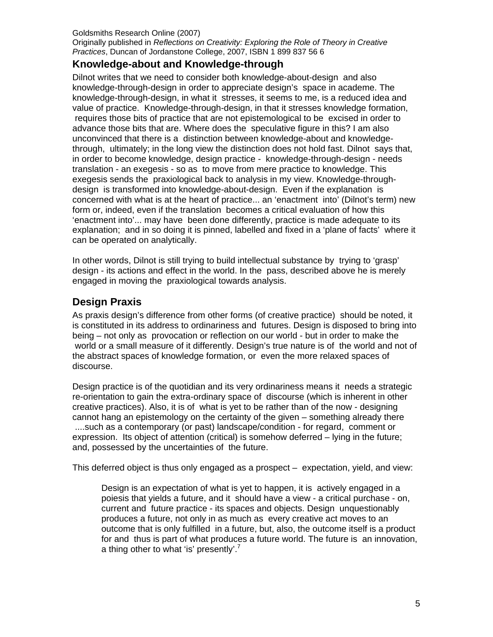## **Knowledge-about and Knowledge-through**

Dilnot writes that we need to consider both knowledge-about-design and also knowledge-through-design in order to appreciate design's space in academe. The knowledge-through-design, in what it stresses, it seems to me, is a reduced idea and value of practice. Knowledge-through-design, in that it stresses knowledge formation, requires those bits of practice that are not epistemological to be excised in order to advance those bits that are. Where does the speculative figure in this? I am also unconvinced that there is a distinction between knowledge-about and knowledgethrough, ultimately; in the long view the distinction does not hold fast. Dilnot says that, in order to become knowledge, design practice - knowledge-through-design - needs translation - an exegesis - so as to move from mere practice to knowledge. This exegesis sends the praxiological back to analysis in my view. Knowledge-throughdesign is transformed into knowledge-about-design. Even if the explanation is concerned with what is at the heart of practice... an 'enactment into' (Dilnot's term) new form or, indeed, even if the translation becomes a critical evaluation of how this 'enactment into'... may have been done differently, practice is made adequate to its explanation; and in so doing it is pinned, labelled and fixed in a 'plane of facts' where it can be operated on analytically.

In other words, Dilnot is still trying to build intellectual substance by trying to 'grasp' design - its actions and effect in the world. In the pass, described above he is merely engaged in moving the praxiological towards analysis.

## **Design Praxis**

As praxis design's difference from other forms (of creative practice) should be noted, it is constituted in its address to ordinariness and futures. Design is disposed to bring into being – not only as provocation or reflection on our world - but in order to make the world or a small measure of it differently. Design's true nature is of the world and not of the abstract spaces of knowledge formation, or even the more relaxed spaces of discourse.

Design practice is of the quotidian and its very ordinariness means it needs a strategic re-orientation to gain the extra-ordinary space of discourse (which is inherent in other creative practices). Also, it is of what is yet to be rather than of the now - designing cannot hang an epistemology on the certainty of the given – something already there ....such as a contemporary (or past) landscape/condition - for regard, comment or expression. Its object of attention (critical) is somehow deferred – lying in the future; and, possessed by the uncertainties of the future.

This deferred object is thus only engaged as a prospect – expectation, yield, and view:

Design is an expectation of what is yet to happen, it is actively engaged in a poiesis that yields a future, and it should have a view - a critical purchase - on, current and future practice - its spaces and objects. Design unquestionably produces a future, not only in as much as every creative act moves to an outcome that is only fulfilled in a future, but, also, the outcome itself is a product for and thus is part of what produces a future world. The future is an innovation, a thing other to what 'is' presently'.<sup>7</sup>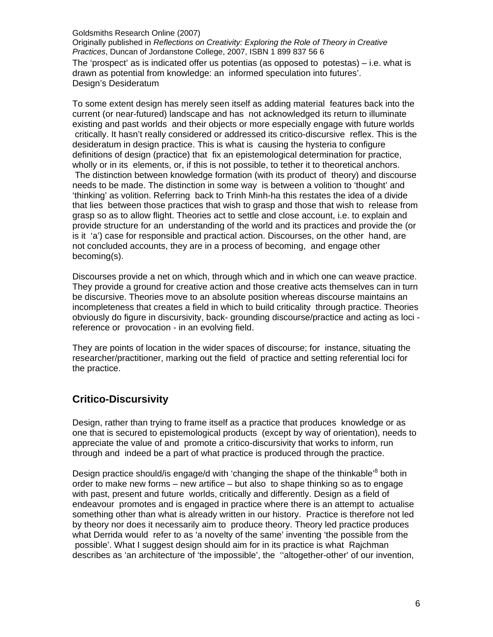Originally published in *Reflections on Creativity: Exploring the Role of Theory in Creative Practices*, Duncan of Jordanstone College, 2007, ISBN 1 899 837 56 6

The 'prospect' as is indicated offer us potentias (as opposed to potestas) – i.e. what is drawn as potential from knowledge: an informed speculation into futures'. Design's Desideratum

To some extent design has merely seen itself as adding material features back into the current (or near-futured) landscape and has not acknowledged its return to illuminate existing and past worlds and their objects or more especially engage with future worlds critically. It hasn't really considered or addressed its critico-discursive reflex. This is the desideratum in design practice. This is what is causing the hysteria to configure definitions of design (practice) that fix an epistemological determination for practice, wholly or in its elements, or, if this is not possible, to tether it to theoretical anchors. The distinction between knowledge formation (with its product of theory) and discourse needs to be made. The distinction in some way is between a volition to 'thought' and 'thinking' as volition. Referring back to Trinh Minh-ha this restates the idea of a divide that lies between those practices that wish to grasp and those that wish to release from grasp so as to allow flight. Theories act to settle and close account, i.e. to explain and provide structure for an understanding of the world and its practices and provide the (or is it 'a') case for responsible and practical action. Discourses, on the other hand, are not concluded accounts, they are in a process of becoming, and engage other becoming(s).

Discourses provide a net on which, through which and in which one can weave practice. They provide a ground for creative action and those creative acts themselves can in turn be discursive. Theories move to an absolute position whereas discourse maintains an incompleteness that creates a field in which to build criticality through practice. Theories obviously do figure in discursivity, back- grounding discourse/practice and acting as loci reference or provocation - in an evolving field.

They are points of location in the wider spaces of discourse; for instance, situating the researcher/practitioner, marking out the field of practice and setting referential loci for the practice.

## **Critico-Discursivity**

Design, rather than trying to frame itself as a practice that produces knowledge or as one that is secured to epistemological products (except by way of orientation), needs to appreciate the value of and promote a critico-discursivity that works to inform, run through and indeed be a part of what practice is produced through the practice.

Design practice should/is engage/d with 'changing the shape of the thinkable'<sup>8</sup> both in order to make new forms – new artifice – but also to shape thinking so as to engage with past, present and future worlds, critically and differently. Design as a field of endeavour promotes and is engaged in practice where there is an attempt to actualise something other than what is already written in our history. Practice is therefore not led by theory nor does it necessarily aim to produce theory. Theory led practice produces what Derrida would refer to as 'a novelty of the same' inventing 'the possible from the possible'. What I suggest design should aim for in its practice is what Rajchman describes as 'an architecture of 'the impossible', the ''altogether-other' of our invention,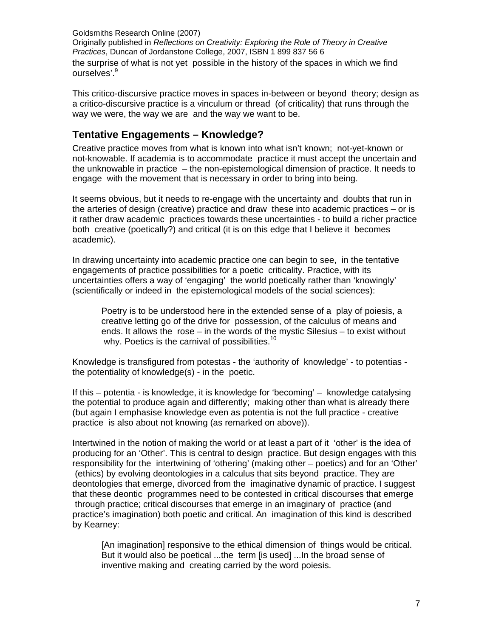the surprise of what is not yet possible in the history of the spaces in which we find ourselves'.<sup>9</sup>

This critico-discursive practice moves in spaces in-between or beyond theory; design as a critico-discursive practice is a vinculum or thread (of criticality) that runs through the way we were, the way we are and the way we want to be.

## **Tentative Engagements – Knowledge?**

Creative practice moves from what is known into what isn't known; not-yet-known or not-knowable. If academia is to accommodate practice it must accept the uncertain and the unknowable in practice – the non-epistemological dimension of practice. It needs to engage with the movement that is necessary in order to bring into being.

It seems obvious, but it needs to re-engage with the uncertainty and doubts that run in the arteries of design (creative) practice and draw these into academic practices – or is it rather draw academic practices towards these uncertainties - to build a richer practice both creative (poetically?) and critical (it is on this edge that I believe it becomes academic).

In drawing uncertainty into academic practice one can begin to see, in the tentative engagements of practice possibilities for a poetic criticality. Practice, with its uncertainties offers a way of 'engaging' the world poetically rather than 'knowingly' (scientifically or indeed in the epistemological models of the social sciences):

Poetry is to be understood here in the extended sense of a play of poiesis, a creative letting go of the drive for possession, of the calculus of means and ends. It allows the rose – in the words of the mystic Silesius – to exist without why. Poetics is the carnival of possibilities. $10<sup>10</sup>$ 

Knowledge is transfigured from potestas - the 'authority of knowledge' - to potentias the potentiality of knowledge(s) - in the poetic.

If this – potentia - is knowledge, it is knowledge for 'becoming' – knowledge catalysing the potential to produce again and differently; making other than what is already there (but again I emphasise knowledge even as potentia is not the full practice - creative practice is also about not knowing (as remarked on above)).

Intertwined in the notion of making the world or at least a part of it 'other' is the idea of producing for an 'Other'. This is central to design practice. But design engages with this responsibility for the intertwining of 'othering' (making other – poetics) and for an 'Other' (ethics) by evolving deontologies in a calculus that sits beyond practice. They are deontologies that emerge, divorced from the imaginative dynamic of practice. I suggest that these deontic programmes need to be contested in critical discourses that emerge through practice; critical discourses that emerge in an imaginary of practice (and practice's imagination) both poetic and critical. An imagination of this kind is described by Kearney:

[An imagination] responsive to the ethical dimension of things would be critical. But it would also be poetical ...the term [is used] ...In the broad sense of inventive making and creating carried by the word poiesis.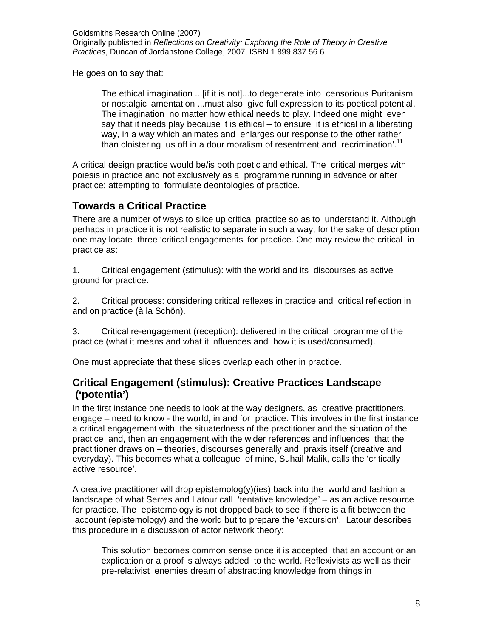He goes on to say that:

The ethical imagination ...[if it is not]...to degenerate into censorious Puritanism or nostalgic lamentation ...must also give full expression to its poetical potential. The imagination no matter how ethical needs to play. Indeed one might even say that it needs play because it is ethical – to ensure it is ethical in a liberating way, in a way which animates and enlarges our response to the other rather than cloistering us off in a dour moralism of resentment and recrimination'.<sup>11</sup>

A critical design practice would be/is both poetic and ethical. The critical merges with poiesis in practice and not exclusively as a programme running in advance or after practice; attempting to formulate deontologies of practice.

## **Towards a Critical Practice**

There are a number of ways to slice up critical practice so as to understand it. Although perhaps in practice it is not realistic to separate in such a way, for the sake of description one may locate three 'critical engagements' for practice. One may review the critical in practice as:

1. Critical engagement (stimulus): with the world and its discourses as active ground for practice.

2. Critical process: considering critical reflexes in practice and critical reflection in and on practice (à la Schön).

3. Critical re-engagement (reception): delivered in the critical programme of the practice (what it means and what it influences and how it is used/consumed).

One must appreciate that these slices overlap each other in practice.

### **Critical Engagement (stimulus): Creative Practices Landscape ('potentia')**

In the first instance one needs to look at the way designers, as creative practitioners, engage – need to know - the world, in and for practice. This involves in the first instance a critical engagement with the situatedness of the practitioner and the situation of the practice and, then an engagement with the wider references and influences that the practitioner draws on – theories, discourses generally and praxis itself (creative and everyday). This becomes what a colleague of mine, Suhail Malik, calls the 'critically active resource'.

A creative practitioner will drop epistemolog(y)(ies) back into the world and fashion a landscape of what Serres and Latour call 'tentative knowledge' – as an active resource for practice. The epistemology is not dropped back to see if there is a fit between the account (epistemology) and the world but to prepare the 'excursion'. Latour describes this procedure in a discussion of actor network theory:

This solution becomes common sense once it is accepted that an account or an explication or a proof is always added to the world. Reflexivists as well as their pre-relativist enemies dream of abstracting knowledge from things in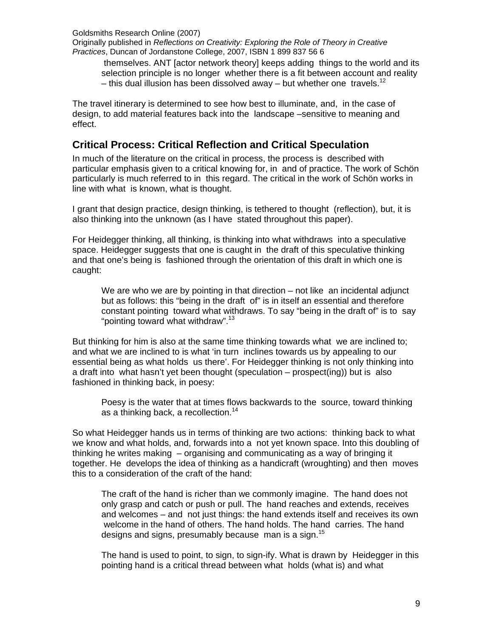Originally published in *Reflections on Creativity: Exploring the Role of Theory in Creative Practices*, Duncan of Jordanstone College, 2007, ISBN 1 899 837 56 6

 themselves. ANT [actor network theory] keeps adding things to the world and its selection principle is no longer whether there is a fit between account and reality – this dual illusion has been dissolved away – but whether one travels.<sup>12</sup>

The travel itinerary is determined to see how best to illuminate, and, in the case of design, to add material features back into the landscape –sensitive to meaning and effect.

## **Critical Process: Critical Reflection and Critical Speculation**

In much of the literature on the critical in process, the process is described with particular emphasis given to a critical knowing for, in and of practice. The work of Schön particularly is much referred to in this regard. The critical in the work of Schön works in line with what is known, what is thought.

I grant that design practice, design thinking, is tethered to thought (reflection), but, it is also thinking into the unknown (as I have stated throughout this paper).

For Heidegger thinking, all thinking, is thinking into what withdraws into a speculative space. Heidegger suggests that one is caught in the draft of this speculative thinking and that one's being is fashioned through the orientation of this draft in which one is caught:

We are who we are by pointing in that direction – not like an incidental adjunct but as follows: this "being in the draft of" is in itself an essential and therefore constant pointing toward what withdraws. To say "being in the draft of" is to say "pointing toward what withdraw".<sup>13</sup>

But thinking for him is also at the same time thinking towards what we are inclined to; and what we are inclined to is what 'in turn inclines towards us by appealing to our essential being as what holds us there'. For Heidegger thinking is not only thinking into a draft into what hasn't yet been thought (speculation – prospect(ing)) but is also fashioned in thinking back, in poesy:

Poesy is the water that at times flows backwards to the source, toward thinking as a thinking back, a recollection.<sup>14</sup>

So what Heidegger hands us in terms of thinking are two actions: thinking back to what we know and what holds, and, forwards into a not yet known space. Into this doubling of thinking he writes making – organising and communicating as a way of bringing it together. He develops the idea of thinking as a handicraft (wroughting) and then moves this to a consideration of the craft of the hand:

The craft of the hand is richer than we commonly imagine. The hand does not only grasp and catch or push or pull. The hand reaches and extends, receives and welcomes – and not just things: the hand extends itself and receives its own welcome in the hand of others. The hand holds. The hand carries. The hand designs and signs, presumably because man is a sign.<sup>15</sup>

The hand is used to point, to sign, to sign-ify. What is drawn by Heidegger in this pointing hand is a critical thread between what holds (what is) and what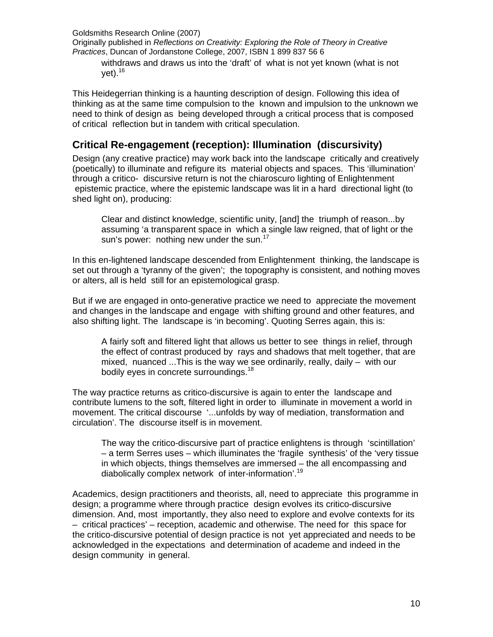Originally published in *Reflections on Creativity: Exploring the Role of Theory in Creative Practices*, Duncan of Jordanstone College, 2007, ISBN 1 899 837 56 6

withdraws and draws us into the 'draft' of what is not yet known (what is not vet). $16$ 

This Heidegerrian thinking is a haunting description of design. Following this idea of thinking as at the same time compulsion to the known and impulsion to the unknown we need to think of design as being developed through a critical process that is composed of critical reflection but in tandem with critical speculation.

## **Critical Re-engagement (reception): Illumination (discursivity)**

Design (any creative practice) may work back into the landscape critically and creatively (poetically) to illuminate and refigure its material objects and spaces. This 'illumination' through a critico- discursive return is not the chiaroscuro lighting of Enlightenment epistemic practice, where the epistemic landscape was lit in a hard directional light (to shed light on), producing:

Clear and distinct knowledge, scientific unity, [and] the triumph of reason...by assuming 'a transparent space in which a single law reigned, that of light or the sun's power: nothing new under the sun. $17$ 

In this en-lightened landscape descended from Enlightenment thinking, the landscape is set out through a 'tyranny of the given'; the topography is consistent, and nothing moves or alters, all is held still for an epistemological grasp.

But if we are engaged in onto-generative practice we need to appreciate the movement and changes in the landscape and engage with shifting ground and other features, and also shifting light. The landscape is 'in becoming'. Quoting Serres again, this is:

A fairly soft and filtered light that allows us better to see things in relief, through the effect of contrast produced by rays and shadows that melt together, that are mixed, nuanced ...This is the way we see ordinarily, really, daily – with our bodily eyes in concrete surroundings.<sup>18</sup>

The way practice returns as critico-discursive is again to enter the landscape and contribute lumens to the soft, filtered light in order to illuminate in movement a world in movement. The critical discourse '...unfolds by way of mediation, transformation and circulation'. The discourse itself is in movement.

The way the critico-discursive part of practice enlightens is through 'scintillation' – a term Serres uses – which illuminates the 'fragile synthesis' of the 'very tissue in which objects, things themselves are immersed – the all encompassing and diabolically complex network of inter-information'.<sup>19</sup>

Academics, design practitioners and theorists, all, need to appreciate this programme in design; a programme where through practice design evolves its critico-discursive dimension. And, most importantly, they also need to explore and evolve contexts for its – critical practices' – reception, academic and otherwise. The need for this space for the critico-discursive potential of design practice is not yet appreciated and needs to be acknowledged in the expectations and determination of academe and indeed in the design community in general.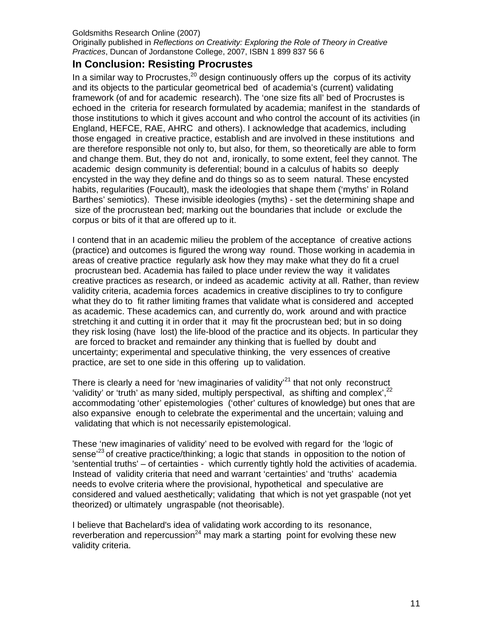Originally published in *Reflections on Creativity: Exploring the Role of Theory in Creative Practices*, Duncan of Jordanstone College, 2007, ISBN 1 899 837 56 6

## **In Conclusion: Resisting Procrustes**

In a similar way to Procrustes,  $20$  design continuously offers up the corpus of its activity and its objects to the particular geometrical bed of academia's (current) validating framework (of and for academic research). The 'one size fits all' bed of Procrustes is echoed in the criteria for research formulated by academia; manifest in the standards of those institutions to which it gives account and who control the account of its activities (in England, HEFCE, RAE, AHRC and others). I acknowledge that academics, including those engaged in creative practice, establish and are involved in these institutions and are therefore responsible not only to, but also, for them, so theoretically are able to form and change them. But, they do not and, ironically, to some extent, feel they cannot. The academic design community is deferential; bound in a calculus of habits so deeply encysted in the way they define and do things so as to seem natural. These encysted habits, regularities (Foucault), mask the ideologies that shape them ('myths' in Roland Barthes' semiotics). These invisible ideologies (myths) - set the determining shape and size of the procrustean bed; marking out the boundaries that include or exclude the corpus or bits of it that are offered up to it.

I contend that in an academic milieu the problem of the acceptance of creative actions (practice) and outcomes is figured the wrong way round. Those working in academia in areas of creative practice regularly ask how they may make what they do fit a cruel procrustean bed. Academia has failed to place under review the way it validates creative practices as research, or indeed as academic activity at all. Rather, than review validity criteria, academia forces academics in creative disciplines to try to configure what they do to fit rather limiting frames that validate what is considered and accepted as academic. These academics can, and currently do, work around and with practice stretching it and cutting it in order that it may fit the procrustean bed; but in so doing they risk losing (have lost) the life-blood of the practice and its objects. In particular they are forced to bracket and remainder any thinking that is fuelled by doubt and uncertainty; experimental and speculative thinking, the very essences of creative practice, are set to one side in this offering up to validation.

There is clearly a need for 'new imaginaries of validity $^{21}$  that not only reconstruct 'validity' or 'truth' as many sided, multiply perspectival, as shifting and complex',<sup>22</sup> accommodating 'other' epistemologies ('other' cultures of knowledge) but ones that are also expansive enough to celebrate the experimental and the uncertain; valuing and validating that which is not necessarily epistemological.

These 'new imaginaries of validity' need to be evolved with regard for the 'logic of sense<sup>'23</sup> of creative practice/thinking; a logic that stands in opposition to the notion of 'sentential truths' – of certainties - which currently tightly hold the activities of academia. Instead of validity criteria that need and warrant 'certainties' and 'truths' academia needs to evolve criteria where the provisional, hypothetical and speculative are considered and valued aesthetically; validating that which is not yet graspable (not yet theorized) or ultimately ungraspable (not theorisable).

I believe that Bachelard's idea of validating work according to its resonance, reverberation and repercussion<sup>24</sup> may mark a starting point for evolving these new validity criteria.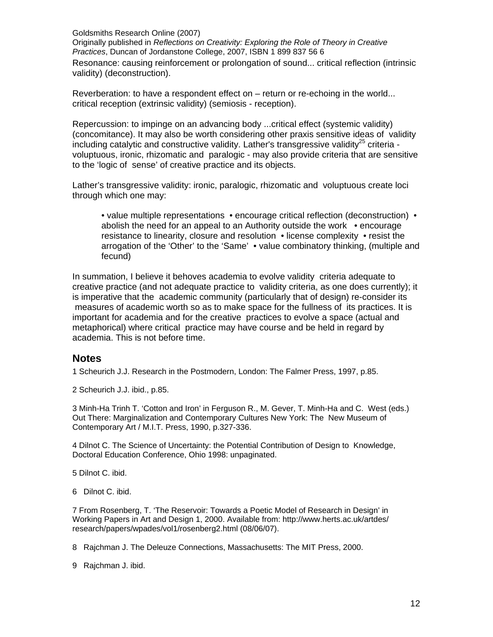Originally published in *Reflections on Creativity: Exploring the Role of Theory in Creative Practices*, Duncan of Jordanstone College, 2007, ISBN 1 899 837 56 6

Resonance: causing reinforcement or prolongation of sound... critical reflection (intrinsic validity) (deconstruction).

Reverberation: to have a respondent effect on – return or re-echoing in the world... critical reception (extrinsic validity) (semiosis - reception).

Repercussion: to impinge on an advancing body ...critical effect (systemic validity) (concomitance). It may also be worth considering other praxis sensitive ideas of validity including catalytic and constructive validity. Lather's transgressive validity<sup>25</sup> criteria voluptuous, ironic, rhizomatic and paralogic - may also provide criteria that are sensitive to the 'logic of sense' of creative practice and its objects.

Lather's transgressive validity: ironic, paralogic, rhizomatic and voluptuous create loci through which one may:

• value multiple representations • encourage critical reflection (deconstruction) • abolish the need for an appeal to an Authority outside the work • encourage resistance to linearity, closure and resolution • license complexity • resist the arrogation of the 'Other' to the 'Same' • value combinatory thinking, (multiple and fecund)

In summation, I believe it behoves academia to evolve validity criteria adequate to creative practice (and not adequate practice to validity criteria, as one does currently); it is imperative that the academic community (particularly that of design) re-consider its measures of academic worth so as to make space for the fullness of its practices. It is important for academia and for the creative practices to evolve a space (actual and metaphorical) where critical practice may have course and be held in regard by academia. This is not before time.

#### **Notes**

1 Scheurich J.J. Research in the Postmodern, London: The Falmer Press, 1997, p.85.

2 Scheurich J.J. ibid., p.85.

3 Minh-Ha Trinh T. 'Cotton and Iron' in Ferguson R., M. Gever, T. Minh-Ha and C. West (eds.) Out There: Marginalization and Contemporary Cultures New York: The New Museum of Contemporary Art / M.I.T. Press, 1990, p.327-336.

4 Dilnot C. The Science of Uncertainty: the Potential Contribution of Design to Knowledge, Doctoral Education Conference, Ohio 1998: unpaginated.

5 Dilnot C. ibid.

6 Dilnot C. ibid.

7 From Rosenberg, T. 'The Reservoir: Towards a Poetic Model of Research in Design' in Working Papers in Art and Design 1, 2000. Available from: http://www.herts.ac.uk/artdes/ research/papers/wpades/vol1/rosenberg2.html (08/06/07).

8 Rajchman J. The Deleuze Connections, Massachusetts: The MIT Press, 2000.

9 Rajchman J. ibid.